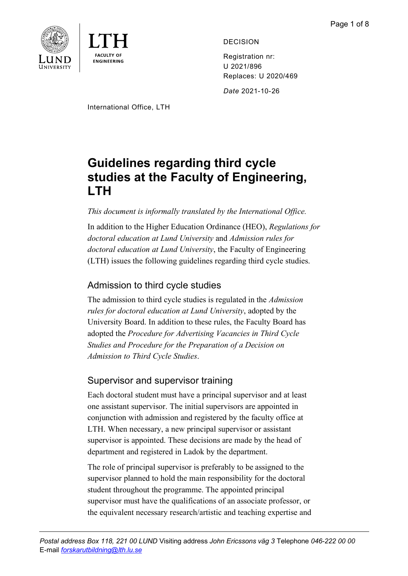



DECISION

Registration nr: U 2021/896 Replaces: U 2020/469

*Date* 2021-10-26

International Office, LTH

# **Guidelines regarding third cycle studies at the Faculty of Engineering, LTH**

# *This document is informally translated by the International Office.*

In addition to the Higher Education Ordinance (HEO), *Regulations for doctoral education at Lund University* and *Admission rules for doctoral education at Lund University*, the Faculty of Engineering (LTH) issues the following guidelines regarding third cycle studies.

# Admission to third cycle studies

The admission to third cycle studies is regulated in the *Admission rules for doctoral education at Lund University*, adopted by the University Board. In addition to these rules, the Faculty Board has adopted the *Procedure for Advertising Vacancies in Third Cycle Studies and Procedure for the Preparation of a Decision on Admission to Third Cycle Studies*.

# Supervisor and supervisor training

Each doctoral student must have a principal supervisor and at least one assistant supervisor. The initial supervisors are appointed in conjunction with admission and registered by the faculty office at LTH. When necessary, a new principal supervisor or assistant supervisor is appointed. These decisions are made by the head of department and registered in Ladok by the department.

The role of principal supervisor is preferably to be assigned to the supervisor planned to hold the main responsibility for the doctoral student throughout the programme. The appointed principal supervisor must have the qualifications of an associate professor, or the equivalent necessary research/artistic and teaching expertise and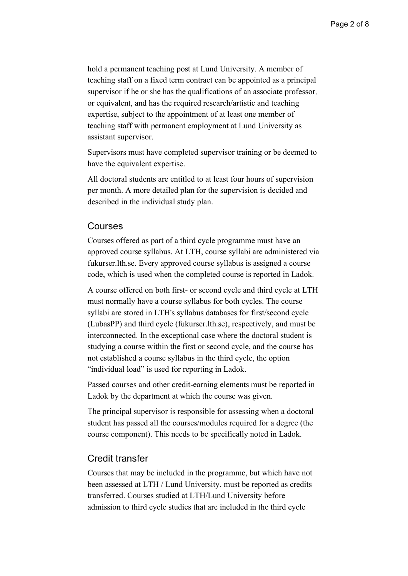hold a permanent teaching post at Lund University. A member of teaching staff on a fixed term contract can be appointed as a principal supervisor if he or she has the qualifications of an associate professor*,* or equivalent, and has the required research/artistic and teaching expertise, subject to the appointment of at least one member of teaching staff with permanent employment at Lund University as assistant supervisor.

Supervisors must have completed supervisor training or be deemed to have the equivalent expertise.

All doctoral students are entitled to at least four hours of supervision per month. A more detailed plan for the supervision is decided and described in the individual study plan.

#### Courses

Courses offered as part of a third cycle programme must have an approved course syllabus. At LTH, course syllabi are administered via fukurser.lth.se. Every approved course syllabus is assigned a course code, which is used when the completed course is reported in Ladok.

A course offered on both first- or second cycle and third cycle at LTH must normally have a course syllabus for both cycles. The course syllabi are stored in LTH's syllabus databases for first/second cycle (LubasPP) and third cycle (fukurser.lth.se), respectively, and must be interconnected. In the exceptional case where the doctoral student is studying a course within the first or second cycle, and the course has not established a course syllabus in the third cycle, the option "individual load" is used for reporting in Ladok.

Passed courses and other credit-earning elements must be reported in Ladok by the department at which the course was given.

The principal supervisor is responsible for assessing when a doctoral student has passed all the courses/modules required for a degree (the course component). This needs to be specifically noted in Ladok.

#### Credit transfer

Courses that may be included in the programme, but which have not been assessed at LTH / Lund University, must be reported as credits transferred. Courses studied at LTH/Lund University before admission to third cycle studies that are included in the third cycle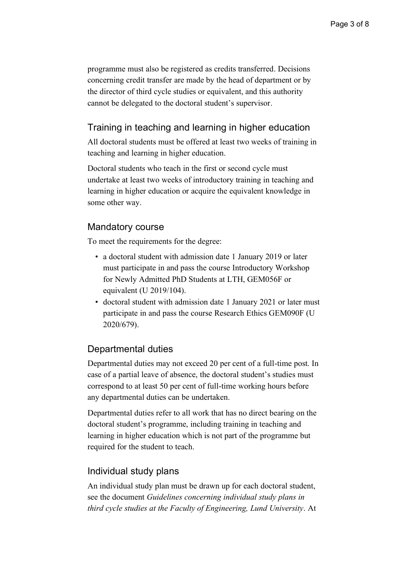programme must also be registered as credits transferred. Decisions concerning credit transfer are made by the head of department or by the director of third cycle studies or equivalent, and this authority cannot be delegated to the doctoral student's supervisor.

# Training in teaching and learning in higher education

All doctoral students must be offered at least two weeks of training in teaching and learning in higher education.

Doctoral students who teach in the first or second cycle must undertake at least two weeks of introductory training in teaching and learning in higher education or acquire the equivalent knowledge in some other way.

# Mandatory course

To meet the requirements for the degree:

- a doctoral student with admission date 1 January 2019 or later must participate in and pass the course Introductory Workshop for Newly Admitted PhD Students at LTH, GEM056F or equivalent (U 2019/104).
- doctoral student with admission date 1 January 2021 or later must participate in and pass the course Research Ethics GEM090F (U 2020/679).

# Departmental duties

Departmental duties may not exceed 20 per cent of a full-time post. In case of a partial leave of absence, the doctoral student's studies must correspond to at least 50 per cent of full-time working hours before any departmental duties can be undertaken.

Departmental duties refer to all work that has no direct bearing on the doctoral student's programme, including training in teaching and learning in higher education which is not part of the programme but required for the student to teach.

# Individual study plans

An individual study plan must be drawn up for each doctoral student, see the document *Guidelines concerning individual study plans in third cycle studies at the Faculty of Engineering, Lund University*. At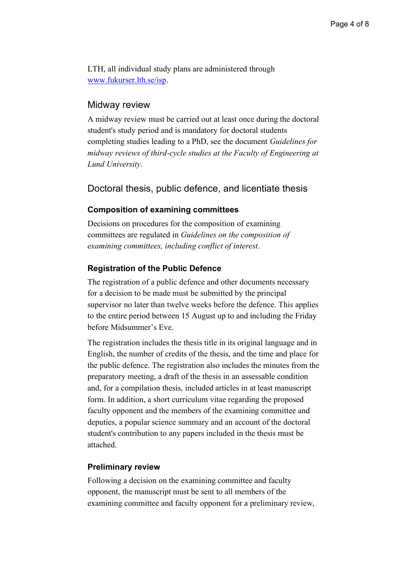LTH, all individual study plans are administered through [www.fukurser.lth.se/isp.](http://www.fukurser.lth.se/isp)

### Midway review

A midway review must be carried out at least once during the doctoral student's study period and is mandatory for doctoral students completing studies leading to a PhD, see the document *Guidelines for midway reviews of third-cycle studies at the Faculty of Engineering at Lund University*.

Doctoral thesis, public defence, and licentiate thesis

#### **Composition of examining committees**

Decisions on procedures for the composition of examining committees are regulated in *Guidelines on the composition of examining committees, including conflict of interest*.

#### **Registration of the Public Defence**

The registration of a public defence and other documents necessary for a decision to be made must be submitted by the principal supervisor no later than twelve weeks before the defence. This applies to the entire period between 15 August up to and including the Friday before Midsummer's Eve.

The registration includes the thesis title in its original language and in English, the number of credits of the thesis, and the time and place for the public defence. The registration also includes the minutes from the preparatory meeting, a draft of the thesis in an assessable condition and, for a compilation thesis, included articles in at least manuscript form. In addition, a short curriculum vitae regarding the proposed faculty opponent and the members of the examining committee and deputies, a popular science summary and an account of the doctoral student's contribution to any papers included in the thesis must be attached.

#### **Preliminary review**

Following a decision on the examining committee and faculty opponent, the manuscript must be sent to all members of the examining committee and faculty opponent for a preliminary review,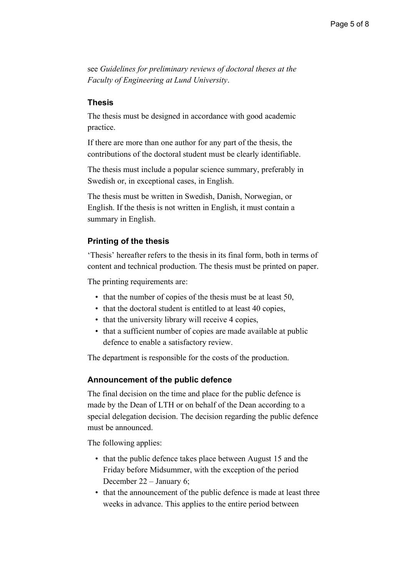see *Guidelines for preliminary reviews of doctoral theses at the Faculty of Engineering at Lund University*.

#### **Thesis**

The thesis must be designed in accordance with good academic practice.

If there are more than one author for any part of the thesis, the contributions of the doctoral student must be clearly identifiable.

The thesis must include a popular science summary, preferably in Swedish or, in exceptional cases, in English.

The thesis must be written in Swedish, Danish, Norwegian, or English. If the thesis is not written in English, it must contain a summary in English.

### **Printing of the thesis**

'Thesis' hereafter refers to the thesis in its final form, both in terms of content and technical production. The thesis must be printed on paper.

The printing requirements are:

- that the number of copies of the thesis must be at least 50.
- that the doctoral student is entitled to at least 40 copies,
- that the university library will receive 4 copies,
- that a sufficient number of copies are made available at public defence to enable a satisfactory review.

The department is responsible for the costs of the production.

#### **Announcement of the public defence**

The final decision on the time and place for the public defence is made by the Dean of LTH or on behalf of the Dean according to a special delegation decision. The decision regarding the public defence must be announced.

The following applies:

- that the public defence takes place between August 15 and the Friday before Midsummer, with the exception of the period December 22 – January 6;
- that the announcement of the public defence is made at least three weeks in advance. This applies to the entire period between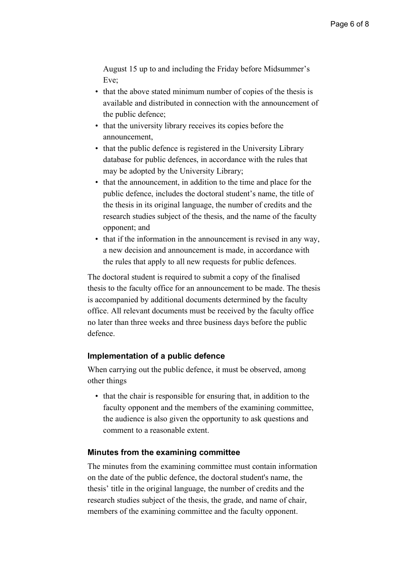August 15 up to and including the Friday before Midsummer's Eve;

- that the above stated minimum number of copies of the thesis is available and distributed in connection with the announcement of the public defence;
- that the university library receives its copies before the announcement,
- that the public defence is registered in the University Library database for public defences, in accordance with the rules that may be adopted by the University Library;
- that the announcement, in addition to the time and place for the public defence, includes the doctoral student's name, the title of the thesis in its original language, the number of credits and the research studies subject of the thesis, and the name of the faculty opponent; and
- that if the information in the announcement is revised in any way, a new decision and announcement is made, in accordance with the rules that apply to all new requests for public defences.

The doctoral student is required to submit a copy of the finalised thesis to the faculty office for an announcement to be made. The thesis is accompanied by additional documents determined by the faculty office. All relevant documents must be received by the faculty office no later than three weeks and three business days before the public defence.

### **Implementation of a public defence**

When carrying out the public defence, it must be observed, among other things

• that the chair is responsible for ensuring that, in addition to the faculty opponent and the members of the examining committee, the audience is also given the opportunity to ask questions and comment to a reasonable extent.

#### **Minutes from the examining committee**

The minutes from the examining committee must contain information on the date of the public defence, the doctoral student's name, the thesis' title in the original language, the number of credits and the research studies subject of the thesis, the grade, and name of chair, members of the examining committee and the faculty opponent.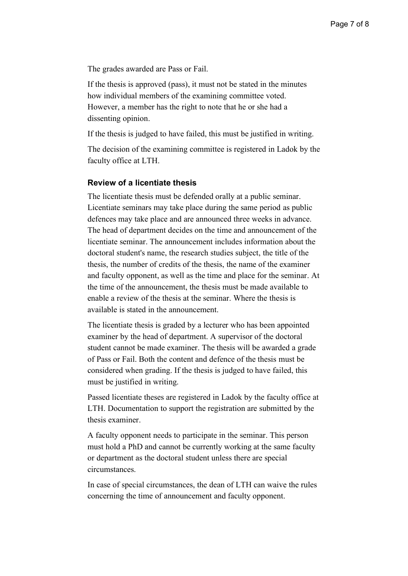The grades awarded are Pass or Fail.

If the thesis is approved (pass), it must not be stated in the minutes how individual members of the examining committee voted. However, a member has the right to note that he or she had a dissenting opinion.

If the thesis is judged to have failed, this must be justified in writing.

The decision of the examining committee is registered in Ladok by the faculty office at LTH.

#### **Review of a licentiate thesis**

The licentiate thesis must be defended orally at a public seminar. Licentiate seminars may take place during the same period as public defences may take place and are announced three weeks in advance. The head of department decides on the time and announcement of the licentiate seminar. The announcement includes information about the doctoral student's name, the research studies subject, the title of the thesis, the number of credits of the thesis, the name of the examiner and faculty opponent, as well as the time and place for the seminar. At the time of the announcement, the thesis must be made available to enable a review of the thesis at the seminar. Where the thesis is available is stated in the announcement.

The licentiate thesis is graded by a lecturer who has been appointed examiner by the head of department. A supervisor of the doctoral student cannot be made examiner. The thesis will be awarded a grade of Pass or Fail. Both the content and defence of the thesis must be considered when grading. If the thesis is judged to have failed, this must be justified in writing.

Passed licentiate theses are registered in Ladok by the faculty office at LTH. Documentation to support the registration are submitted by the thesis examiner.

A faculty opponent needs to participate in the seminar. This person must hold a PhD and cannot be currently working at the same faculty or department as the doctoral student unless there are special circumstances.

In case of special circumstances, the dean of LTH can waive the rules concerning the time of announcement and faculty opponent.